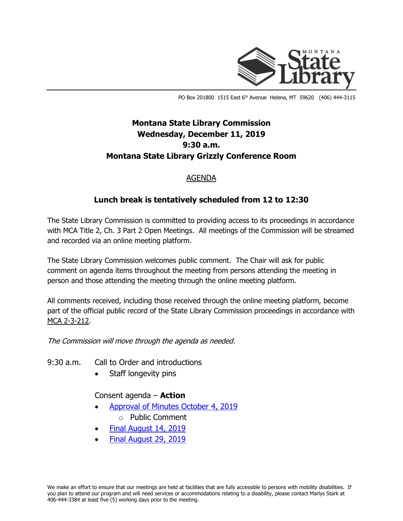

PO Box 201800 1515 East 6<sup>th</sup> Avenue Helena, MT 59620 (406) 444-3115

# **Montana State Library Commission Wednesday, December 11, 2019 9:30 a.m. Montana State Library Grizzly Conference Room**

### AGENDA

## **Lunch break is tentatively scheduled from 12 to 12:30**

The State Library Commission is committed to providing access to its proceedings in accordance with MCA Title 2, Ch. 3 Part 2 Open Meetings. All meetings of the Commission will be streamed and recorded via an online meeting platform.

The State Library Commission welcomes public comment. The Chair will ask for public comment on agenda items throughout the meeting from persons attending the meeting in person and those attending the meeting through the online meeting platform.

All comments received, including those received through the online meeting platform, become part of the official public record of the State Library Commission proceedings in accordance with [MCA 2-3-212.](http://leg.mt.gov/bills/mca/2/3/2-3-212.htm)

The Commission will move through the agenda as needed.

#### 9:30 a.m. Call to Order and introductions

Staff longevity pins

#### Consent agenda – **Action**

- [Approval of Minutes October 4, 2019](http://ftp.aspen.msl.mt.gov/EventResources/20191129135334_12833.pdf)
	- o Public Comment
- [Final August 14, 2019](http://ftp.aspen.msl.mt.gov/EventResources/20191129135430_12833.pdf)
- [Final August 29, 2019](http://ftp.aspen.msl.mt.gov/EventResources/20191129135530_12833.pdf)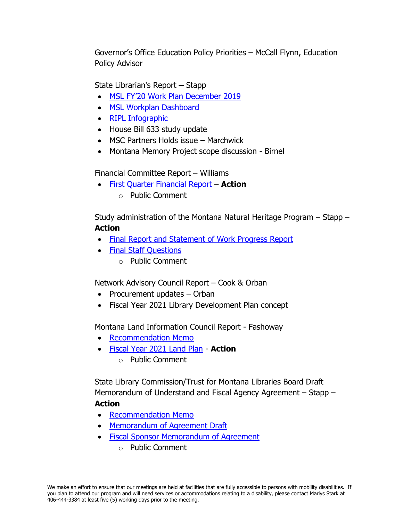Governor's Office Education Policy Priorities – McCall Flynn, Education Policy Advisor

State Librarian's Report **–** Stapp

- [MSL FY'20 Work Plan December 2019](http://ftp.aspen.msl.mt.gov/EventResources/20191129140058_12833.xlsx)
- [MSL Workplan Dashboard](http://ftp.aspen.msl.mt.gov/EventResources/20191129140149_12833.pdf)
- [RIPL Infographic](http://ftp.aspen.msl.mt.gov/EventResources/20191209133350_12833.pdf)
- House Bill 633 study update
- MSC Partners Holds issue Marchwick
- Montana Memory Project scope discussion Birnel

Financial Committee Report – Williams

• [First Quarter Financial Report](http://ftp.aspen.msl.mt.gov/EventResources/20191129131104_12833.pdf) – **Action** o Public Comment

Study administration of the Montana Natural Heritage Program – Stapp – **Action** 

- [Final Report and Statement of Work Progress Report](http://ftp.aspen.msl.mt.gov/EventResources/20191209133650_12833.pdf)
- [Final Staff Questions](http://ftp.aspen.msl.mt.gov/EventResources/20191210092049_12833.pdf)
	- o Public Comment

Network Advisory Council Report – Cook & Orban

- Procurement updates Orban
- Fiscal Year 2021 Library Development Plan concept

Montana Land Information Council Report - Fashoway

- [Recommendation Memo](http://ftp.aspen.msl.mt.gov/EventResources/20191129135729_12833.pdf)
- [Fiscal Year 2021 Land Plan](http://ftp.aspen.msl.mt.gov/EventResources/20191210144426_12833.pdf) **Action**
	- o Public Comment

State Library Commission/Trust for Montana Libraries Board Draft Memorandum of Understand and Fiscal Agency Agreement – Stapp – **Action**

- [Recommendation Memo](http://ftp.aspen.msl.mt.gov/EventResources/20191209133145_12833.pdf)
- [Memorandum of Agreement Draft](http://ftp.aspen.msl.mt.gov/EventResources/20191129130635_12833.pdf)
- [Fiscal Sponsor Memorandum of Agreement](http://ftp.aspen.msl.mt.gov/EventResources/20191129131229_12833.pdf)
	- o Public Comment